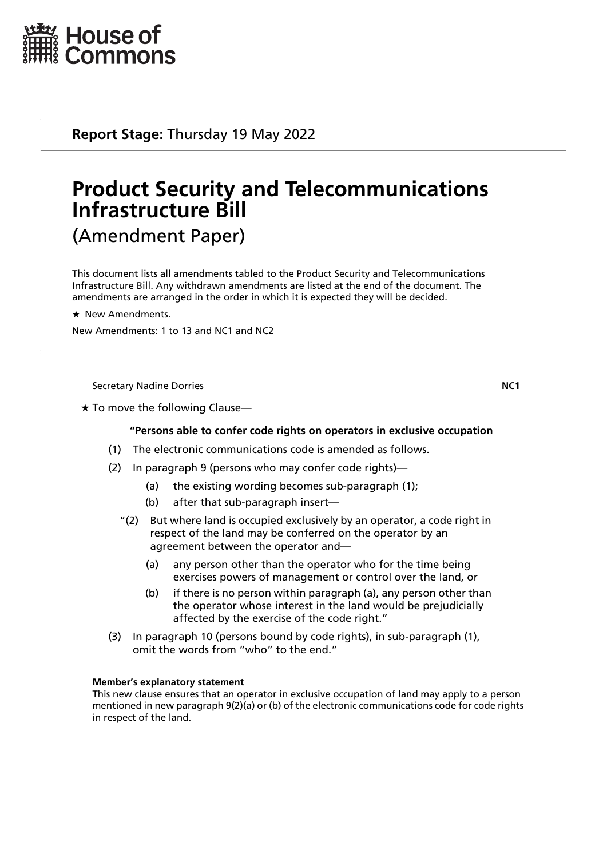

**Report Stage:** Thursday 19 May 2022

# **Product Security and Telecommunications Infrastructure Bill** (Amendment Paper)

This document lists all amendments tabled to the Product Security and Telecommunications Infrastructure Bill. Any withdrawn amendments are listed at the end of the document. The amendments are arranged in the order in which it is expected they will be decided.

 $\star$  New Amendments.

New Amendments: 1 to 13 and NC1 and NC2

Secretary Nadine Dorries **NC1**

 $\star$  To move the following Clause—

# **"Persons able to confer code rights on operators in exclusive occupation**

- (1) The electronic communications code is amended as follows.
- (2) In paragraph 9 (persons who may confer code rights)—
	- (a) the existing wording becomes sub-paragraph (1);
	- (b) after that sub-paragraph insert—
	- "(2) But where land is occupied exclusively by an operator, a code right in respect of the land may be conferred on the operator by an agreement between the operator and—
		- (a) any person other than the operator who for the time being exercises powers of management or control over the land, or
		- (b) if there is no person within paragraph (a), any person other than the operator whose interest in the land would be prejudicially affected by the exercise of the code right."
- (3) In paragraph 10 (persons bound by code rights), in sub-paragraph (1), omit the words from "who" to the end."

# **Member's explanatory statement**

This new clause ensures that an operator in exclusive occupation of land may apply to a person mentioned in new paragraph 9(2)(a) or (b) of the electronic communications code for code rights in respect of the land.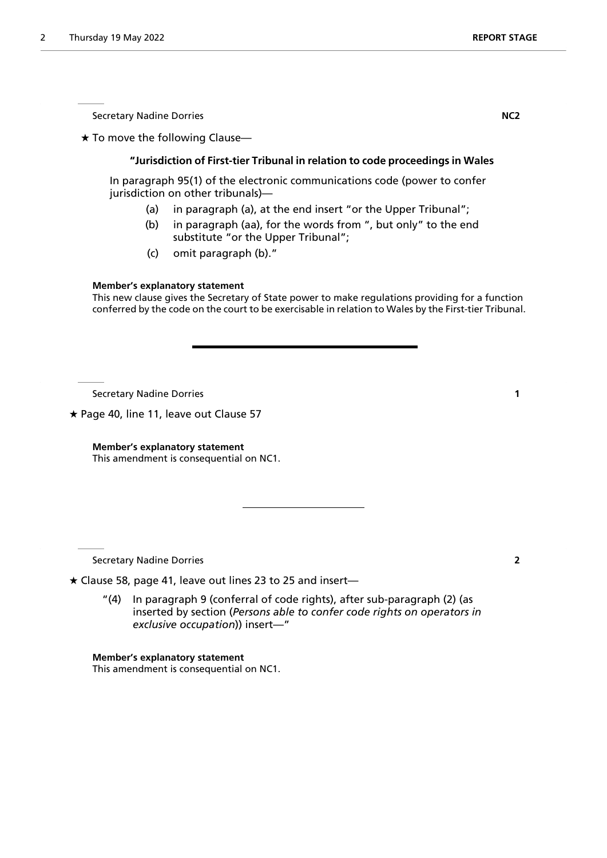Secretary Nadine Dorries **NC2** 

 $\star$  To move the following Clause-

# **"Jurisdiction of First-tier Tribunal in relation to code proceedings in Wales**

In paragraph 95(1) of the electronic communications code (power to confer jurisdiction on other tribunals)—

- (a) in paragraph (a), at the end insert "or the Upper Tribunal";
- (b) in paragraph (aa), for the words from ", but only" to the end substitute "or the Upper Tribunal";
- (c) omit paragraph (b)."

### **Member's explanatory statement**

This new clause gives the Secretary of State power to make regulations providing for a function conferred by the code on the court to be exercisable in relation to Wales by the First-tier Tribunal.

Secretary Nadine Dorries **1**

 $\star$  Page 40, line 11, leave out Clause 57

**Member's explanatory statement** This amendment is consequential on NC1.

Secretary Nadine Dorries **2**

 $\star$  Clause 58, page 41, leave out lines 23 to 25 and insert-

"(4) In paragraph 9 (conferral of code rights), after sub-paragraph (2) (as inserted by section (*Persons able to confer code rights on operators in exclusive occupation*)) insert—"

**Member's explanatory statement** This amendment is consequential on NC1.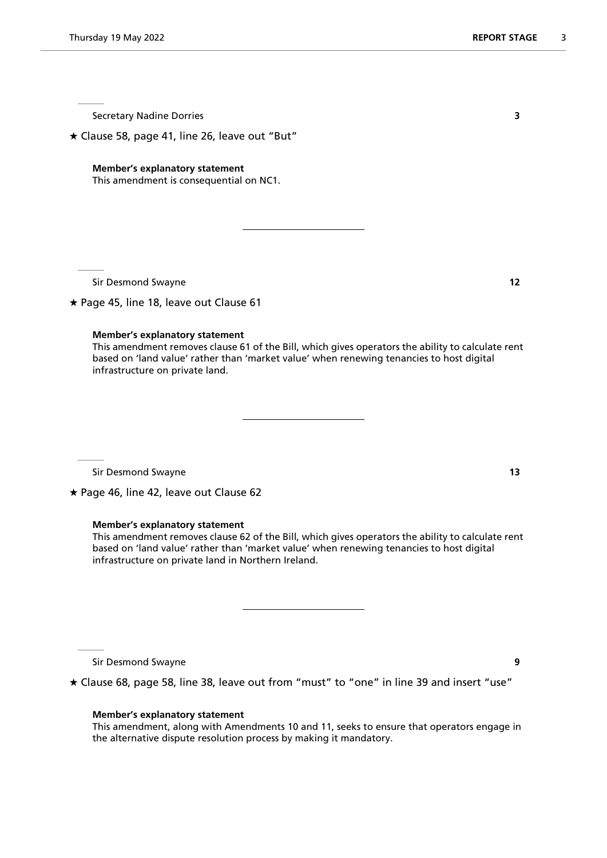Secretary Nadine Dorries **3** 

 $\star$  Clause 58, page 41, line 26, leave out "But"

#### **Member's explanatory statement**

This amendment is consequential on NC1.

Sir Desmond Swayne **12**

 $\star$  Page 45, line 18, leave out Clause 61

#### **Member's explanatory statement**

This amendment removes clause 61 of the Bill, which gives operators the ability to calculate rent based on 'land value' rather than 'market value' when renewing tenancies to host digital infrastructure on private land.

Sir Desmond Swayne **13**

★ Page 46, line 42, leave out Clause 62

#### **Member's explanatory statement**

This amendment removes clause 62 of the Bill, which gives operators the ability to calculate rent based on 'land value' rather than 'market value' when renewing tenancies to host digital infrastructure on private land in Northern Ireland.

Sir Desmond Swayne **9**

Clause 68, page 58, line 38, leave out from "must" to "one" in line 39 and insert "use"

#### **Member's explanatory statement**

This amendment, along with Amendments 10 and 11, seeks to ensure that operators engage in the alternative dispute resolution process by making it mandatory.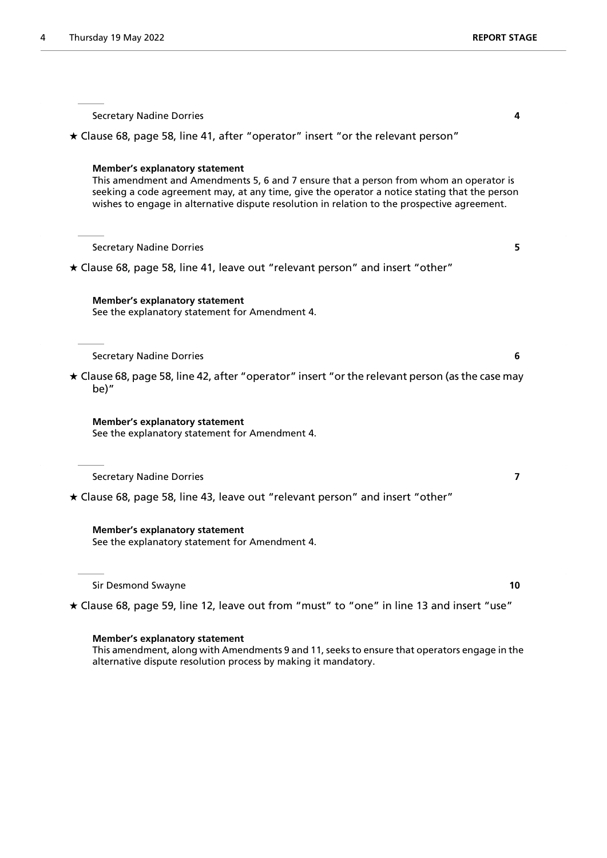Secretary Nadine Dorries **4** Clause 68, page 58, line 41, after "operator" insert "or the relevant person" **Member's explanatory statement** This amendment and Amendments 5, 6 and 7 ensure that a person from whom an operator is seeking a code agreement may, at any time, give the operator a notice stating that the person wishes to engage in alternative dispute resolution in relation to the prospective agreement. Secretary Nadine Dorries **5**  $\star$  Clause 68, page 58, line 41, leave out "relevant person" and insert "other" **Member's explanatory statement** See the explanatory statement for Amendment 4. Secretary Nadine Dorries **6**  $\star$  Clause 68, page 58, line 42, after "operator" insert "or the relevant person (as the case may be)" **Member's explanatory statement** See the explanatory statement for Amendment 4. Secretary Nadine Dorries **7** Clause 68, page 58, line 43, leave out "relevant person" and insert "other" **Member's explanatory statement** See the explanatory statement for Amendment 4. Sir Desmond Swayne **10**

Clause 68, page 59, line 12, leave out from "must" to "one" in line 13 and insert "use"

#### **Member's explanatory statement**

This amendment, along with Amendments 9 and 11, seeks to ensure that operators engage in the alternative dispute resolution process by making it mandatory.